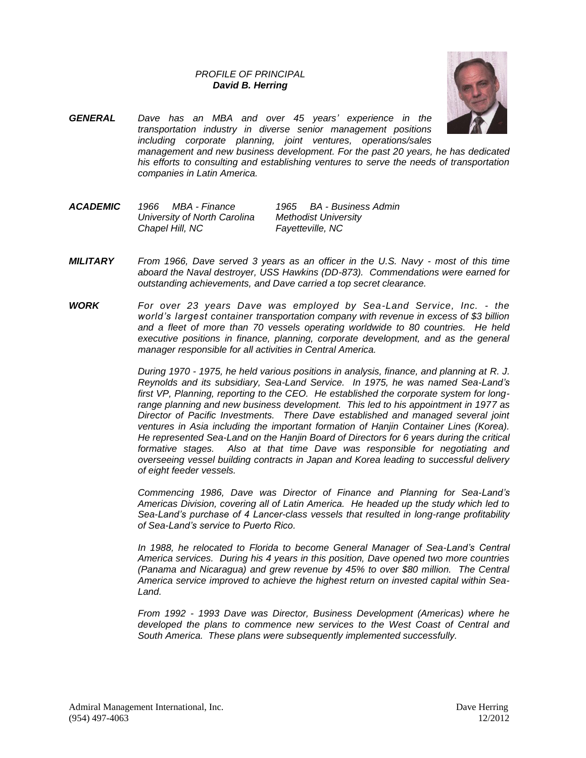## *PROFILE OF PRINCIPAL David B. Herring*



- *GENERAL Dave has an MBA and over 45 years' experience in the transportation industry in diverse senior management positions including corporate planning, joint ventures, operations/sales management and new business development. For the past 20 years, he has dedicated his efforts to consulting and establishing ventures to serve the needs of transportation companies in Latin America.*
- *ACADEMIC 1966 MBA - Finance 1965 BA - Business Admin University of North Carolina Methodist University Chapel Hill, NC Fayetteville, NC*
- *MILITARY From 1966, Dave served 3 years as an officer in the U.S. Navy - most of this time aboard the Naval destroyer, USS Hawkins (DD-873). Commendations were earned for outstanding achievements, and Dave carried a top secret clearance.*
- *WORK For over 23 years Dave was employed by Sea-Land Service, Inc. - the world's largest container transportation company with revenue in excess of \$3 billion and a fleet of more than 70 vessels operating worldwide to 80 countries. He held executive positions in finance, planning, corporate development, and as the general manager responsible for all activities in Central America.*

*During 1970 - 1975, he held various positions in analysis, finance, and planning at R. J. Reynolds and its subsidiary, Sea-Land Service. In 1975, he was named Sea-Land's first VP, Planning, reporting to the CEO. He established the corporate system for longrange planning and new business development. This led to his appointment in 1977 as Director of Pacific Investments. There Dave established and managed several joint ventures in Asia including the important formation of Hanjin Container Lines (Korea). He represented Sea-Land on the Hanjin Board of Directors for 6 years during the critical formative stages. Also at that time Dave was responsible for negotiating and overseeing vessel building contracts in Japan and Korea leading to successful delivery of eight feeder vessels.*

*Commencing 1986, Dave was Director of Finance and Planning for Sea-Land's Americas Division, covering all of Latin America. He headed up the study which led to Sea-Land's purchase of 4 Lancer-class vessels that resulted in long-range profitability of Sea-Land's service to Puerto Rico.*

*In 1988, he relocated to Florida to become General Manager of Sea-Land's Central America services. During his 4 years in this position, Dave opened two more countries (Panama and Nicaragua) and grew revenue by 45% to over \$80 million. The Central America service improved to achieve the highest return on invested capital within Sea-Land.*

*From 1992 - 1993 Dave was Director, Business Development (Americas) where he developed the plans to commence new services to the West Coast of Central and South America. These plans were subsequently implemented successfully.*